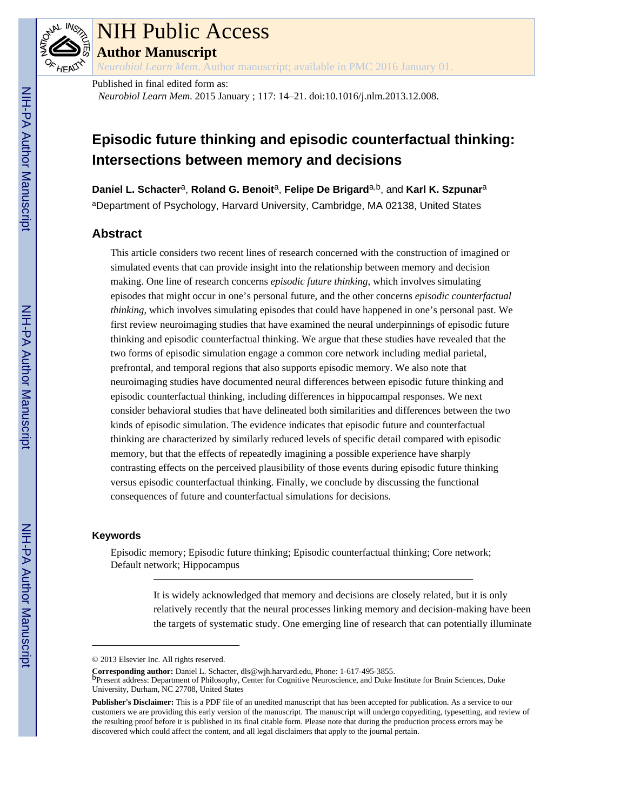

# NIH Public Access

**Author Manuscript**

*Neurobiol Learn Mem*. Author manuscript; available in PMC 2016 January 01.

Published in final edited form as: *Neurobiol Learn Mem*. 2015 January ; 117: 14–21. doi:10.1016/j.nlm.2013.12.008.

## **Episodic future thinking and episodic counterfactual thinking: Intersections between memory and decisions**

**Daniel L. Schacter**a, **Roland G. Benoit**a, **Felipe De Brigard**a,b, and **Karl K. Szpunar**<sup>a</sup> <sup>a</sup>Department of Psychology, Harvard University, Cambridge, MA 02138, United States

#### **Abstract**

This article considers two recent lines of research concerned with the construction of imagined or simulated events that can provide insight into the relationship between memory and decision making. One line of research concerns *episodic future thinking*, which involves simulating episodes that might occur in one's personal future, and the other concerns *episodic counterfactual thinking*, which involves simulating episodes that could have happened in one's personal past. We first review neuroimaging studies that have examined the neural underpinnings of episodic future thinking and episodic counterfactual thinking. We argue that these studies have revealed that the two forms of episodic simulation engage a common core network including medial parietal, prefrontal, and temporal regions that also supports episodic memory. We also note that neuroimaging studies have documented neural differences between episodic future thinking and episodic counterfactual thinking, including differences in hippocampal responses. We next consider behavioral studies that have delineated both similarities and differences between the two kinds of episodic simulation. The evidence indicates that episodic future and counterfactual thinking are characterized by similarly reduced levels of specific detail compared with episodic memory, but that the effects of repeatedly imagining a possible experience have sharply contrasting effects on the perceived plausibility of those events during episodic future thinking versus episodic counterfactual thinking. Finally, we conclude by discussing the functional consequences of future and counterfactual simulations for decisions.

#### **Keywords**

Episodic memory; Episodic future thinking; Episodic counterfactual thinking; Core network; Default network; Hippocampus

> It is widely acknowledged that memory and decisions are closely related, but it is only relatively recently that the neural processes linking memory and decision-making have been the targets of systematic study. One emerging line of research that can potentially illuminate

<sup>© 2013</sup> Elsevier Inc. All rights reserved.

Corresponding author: Daniel L. Schacter, dls@wjh.harvard.edu, Phone: 1-617-495-3855.<br><sup>b</sup>Present address: Department of Philosophy, Center for Cognitive Neuroscience, and Duke Institute for Brain Sciences, Duke

University, Durham, NC 27708, United States

**Publisher's Disclaimer:** This is a PDF file of an unedited manuscript that has been accepted for publication. As a service to our customers we are providing this early version of the manuscript. The manuscript will undergo copyediting, typesetting, and review of the resulting proof before it is published in its final citable form. Please note that during the production process errors may be discovered which could affect the content, and all legal disclaimers that apply to the journal pertain.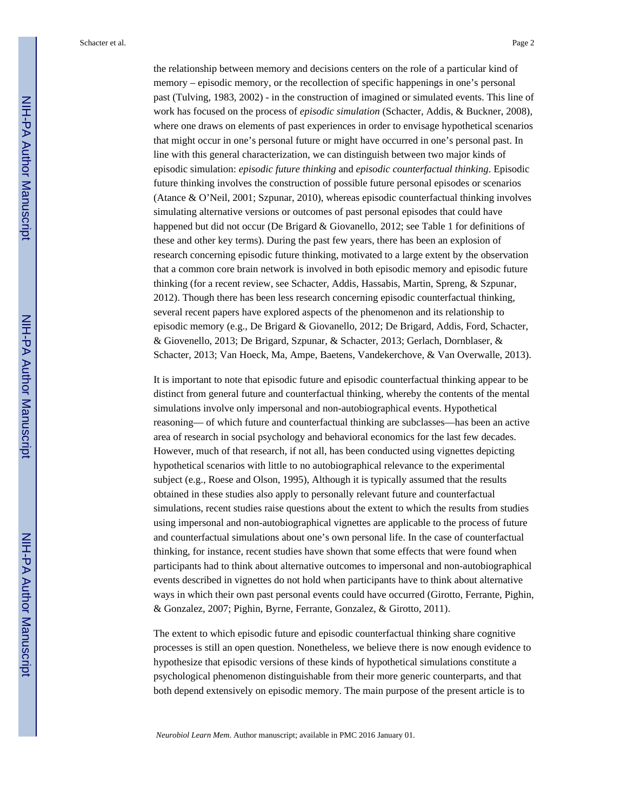the relationship between memory and decisions centers on the role of a particular kind of memory – episodic memory, or the recollection of specific happenings in one's personal past (Tulving, 1983, 2002) - in the construction of imagined or simulated events. This line of work has focused on the process of *episodic simulation* (Schacter, Addis, & Buckner, 2008), where one draws on elements of past experiences in order to envisage hypothetical scenarios that might occur in one's personal future or might have occurred in one's personal past. In line with this general characterization, we can distinguish between two major kinds of episodic simulation: *episodic future thinking* and *episodic counterfactual thinking*. Episodic future thinking involves the construction of possible future personal episodes or scenarios (Atance & O'Neil, 2001; Szpunar, 2010), whereas episodic counterfactual thinking involves simulating alternative versions or outcomes of past personal episodes that could have happened but did not occur (De Brigard & Giovanello, 2012; see Table 1 for definitions of these and other key terms). During the past few years, there has been an explosion of research concerning episodic future thinking, motivated to a large extent by the observation that a common core brain network is involved in both episodic memory and episodic future thinking (for a recent review, see Schacter, Addis, Hassabis, Martin, Spreng, & Szpunar, 2012). Though there has been less research concerning episodic counterfactual thinking, several recent papers have explored aspects of the phenomenon and its relationship to episodic memory (e.g., De Brigard & Giovanello, 2012; De Brigard, Addis, Ford, Schacter, & Giovenello, 2013; De Brigard, Szpunar, & Schacter, 2013; Gerlach, Dornblaser, & Schacter, 2013; Van Hoeck, Ma, Ampe, Baetens, Vandekerchove, & Van Overwalle, 2013).

It is important to note that episodic future and episodic counterfactual thinking appear to be distinct from general future and counterfactual thinking, whereby the contents of the mental simulations involve only impersonal and non-autobiographical events. Hypothetical reasoning— of which future and counterfactual thinking are subclasses—has been an active area of research in social psychology and behavioral economics for the last few decades. However, much of that research, if not all, has been conducted using vignettes depicting hypothetical scenarios with little to no autobiographical relevance to the experimental subject (e.g., Roese and Olson, 1995), Although it is typically assumed that the results obtained in these studies also apply to personally relevant future and counterfactual simulations, recent studies raise questions about the extent to which the results from studies using impersonal and non-autobiographical vignettes are applicable to the process of future and counterfactual simulations about one's own personal life. In the case of counterfactual thinking, for instance, recent studies have shown that some effects that were found when participants had to think about alternative outcomes to impersonal and non-autobiographical events described in vignettes do not hold when participants have to think about alternative ways in which their own past personal events could have occurred (Girotto, Ferrante, Pighin, & Gonzalez, 2007; Pighin, Byrne, Ferrante, Gonzalez, & Girotto, 2011).

The extent to which episodic future and episodic counterfactual thinking share cognitive processes is still an open question. Nonetheless, we believe there is now enough evidence to hypothesize that episodic versions of these kinds of hypothetical simulations constitute a psychological phenomenon distinguishable from their more generic counterparts, and that both depend extensively on episodic memory. The main purpose of the present article is to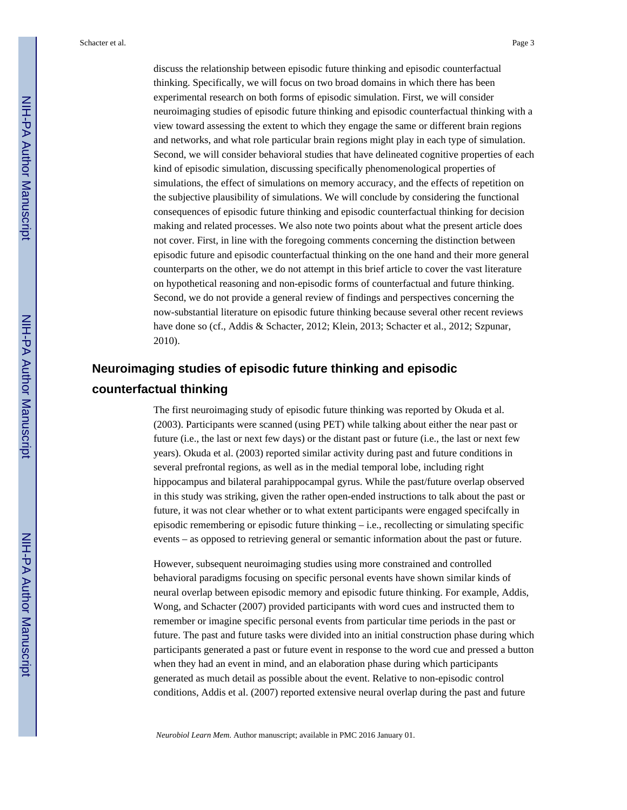discuss the relationship between episodic future thinking and episodic counterfactual thinking. Specifically, we will focus on two broad domains in which there has been experimental research on both forms of episodic simulation. First, we will consider neuroimaging studies of episodic future thinking and episodic counterfactual thinking with a view toward assessing the extent to which they engage the same or different brain regions and networks, and what role particular brain regions might play in each type of simulation. Second, we will consider behavioral studies that have delineated cognitive properties of each kind of episodic simulation, discussing specifically phenomenological properties of simulations, the effect of simulations on memory accuracy, and the effects of repetition on the subjective plausibility of simulations. We will conclude by considering the functional consequences of episodic future thinking and episodic counterfactual thinking for decision making and related processes. We also note two points about what the present article does not cover. First, in line with the foregoing comments concerning the distinction between episodic future and episodic counterfactual thinking on the one hand and their more general counterparts on the other, we do not attempt in this brief article to cover the vast literature on hypothetical reasoning and non-episodic forms of counterfactual and future thinking. Second, we do not provide a general review of findings and perspectives concerning the now-substantial literature on episodic future thinking because several other recent reviews

### **Neuroimaging studies of episodic future thinking and episodic counterfactual thinking**

2010).

The first neuroimaging study of episodic future thinking was reported by Okuda et al. (2003). Participants were scanned (using PET) while talking about either the near past or future (i.e., the last or next few days) or the distant past or future (i.e., the last or next few years). Okuda et al. (2003) reported similar activity during past and future conditions in several prefrontal regions, as well as in the medial temporal lobe, including right hippocampus and bilateral parahippocampal gyrus. While the past/future overlap observed in this study was striking, given the rather open-ended instructions to talk about the past or future, it was not clear whether or to what extent participants were engaged specifcally in episodic remembering or episodic future thinking – i.e., recollecting or simulating specific events – as opposed to retrieving general or semantic information about the past or future.

have done so (cf., Addis & Schacter, 2012; Klein, 2013; Schacter et al., 2012; Szpunar,

However, subsequent neuroimaging studies using more constrained and controlled behavioral paradigms focusing on specific personal events have shown similar kinds of neural overlap between episodic memory and episodic future thinking. For example, Addis, Wong, and Schacter (2007) provided participants with word cues and instructed them to remember or imagine specific personal events from particular time periods in the past or future. The past and future tasks were divided into an initial construction phase during which participants generated a past or future event in response to the word cue and pressed a button when they had an event in mind, and an elaboration phase during which participants generated as much detail as possible about the event. Relative to non-episodic control conditions, Addis et al. (2007) reported extensive neural overlap during the past and future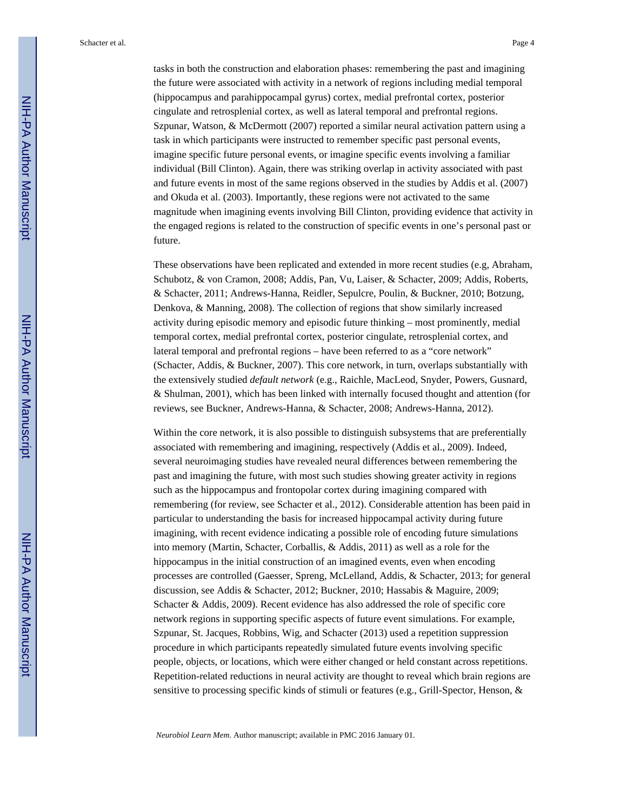tasks in both the construction and elaboration phases: remembering the past and imagining the future were associated with activity in a network of regions including medial temporal (hippocampus and parahippocampal gyrus) cortex, medial prefrontal cortex, posterior cingulate and retrosplenial cortex, as well as lateral temporal and prefrontal regions. Szpunar, Watson, & McDermott (2007) reported a similar neural activation pattern using a task in which participants were instructed to remember specific past personal events, imagine specific future personal events, or imagine specific events involving a familiar individual (Bill Clinton). Again, there was striking overlap in activity associated with past and future events in most of the same regions observed in the studies by Addis et al. (2007)

and Okuda et al. (2003). Importantly, these regions were not activated to the same magnitude when imagining events involving Bill Clinton, providing evidence that activity in the engaged regions is related to the construction of specific events in one's personal past or future.

These observations have been replicated and extended in more recent studies (e.g, Abraham, Schubotz, & von Cramon, 2008; Addis, Pan, Vu, Laiser, & Schacter, 2009; Addis, Roberts, & Schacter, 2011; Andrews-Hanna, Reidler, Sepulcre, Poulin, & Buckner, 2010; Botzung, Denkova, & Manning, 2008). The collection of regions that show similarly increased activity during episodic memory and episodic future thinking – most prominently, medial temporal cortex, medial prefrontal cortex, posterior cingulate, retrosplenial cortex, and lateral temporal and prefrontal regions – have been referred to as a "core network" (Schacter, Addis, & Buckner, 2007). This core network, in turn, overlaps substantially with the extensively studied *default network* (e.g., Raichle, MacLeod, Snyder, Powers, Gusnard, & Shulman, 2001), which has been linked with internally focused thought and attention (for reviews, see Buckner, Andrews-Hanna, & Schacter, 2008; Andrews-Hanna, 2012).

Within the core network, it is also possible to distinguish subsystems that are preferentially associated with remembering and imagining, respectively (Addis et al., 2009). Indeed, several neuroimaging studies have revealed neural differences between remembering the past and imagining the future, with most such studies showing greater activity in regions such as the hippocampus and frontopolar cortex during imagining compared with remembering (for review, see Schacter et al., 2012). Considerable attention has been paid in particular to understanding the basis for increased hippocampal activity during future imagining, with recent evidence indicating a possible role of encoding future simulations into memory (Martin, Schacter, Corballis, & Addis, 2011) as well as a role for the hippocampus in the initial construction of an imagined events, even when encoding processes are controlled (Gaesser, Spreng, McLelland, Addis, & Schacter, 2013; for general discussion, see Addis & Schacter, 2012; Buckner, 2010; Hassabis & Maguire, 2009; Schacter & Addis, 2009). Recent evidence has also addressed the role of specific core network regions in supporting specific aspects of future event simulations. For example, Szpunar, St. Jacques, Robbins, Wig, and Schacter (2013) used a repetition suppression procedure in which participants repeatedly simulated future events involving specific people, objects, or locations, which were either changed or held constant across repetitions. Repetition-related reductions in neural activity are thought to reveal which brain regions are sensitive to processing specific kinds of stimuli or features (e.g., Grill-Spector, Henson, &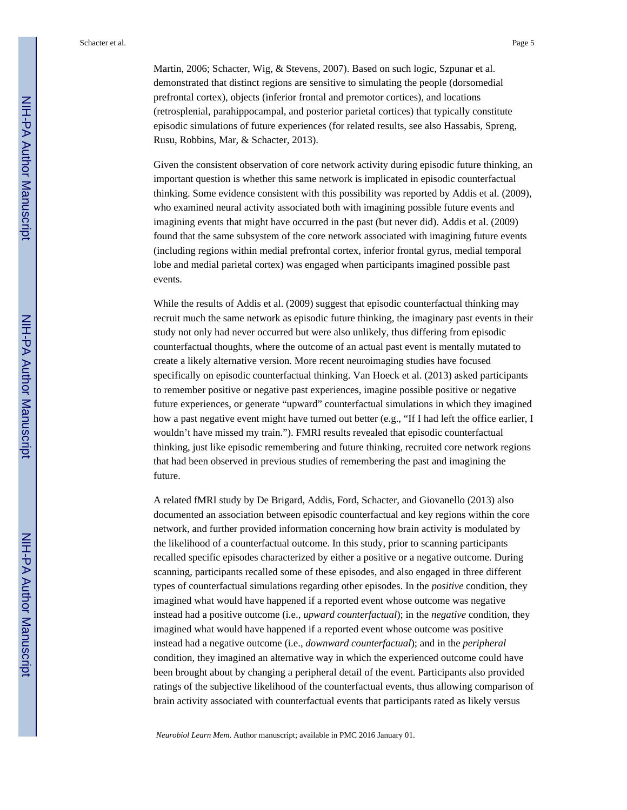Martin, 2006; Schacter, Wig, & Stevens, 2007). Based on such logic, Szpunar et al. demonstrated that distinct regions are sensitive to simulating the people (dorsomedial prefrontal cortex), objects (inferior frontal and premotor cortices), and locations (retrosplenial, parahippocampal, and posterior parietal cortices) that typically constitute episodic simulations of future experiences (for related results, see also Hassabis, Spreng, Rusu, Robbins, Mar, & Schacter, 2013).

Given the consistent observation of core network activity during episodic future thinking, an important question is whether this same network is implicated in episodic counterfactual thinking. Some evidence consistent with this possibility was reported by Addis et al. (2009), who examined neural activity associated both with imagining possible future events and imagining events that might have occurred in the past (but never did). Addis et al. (2009) found that the same subsystem of the core network associated with imagining future events (including regions within medial prefrontal cortex, inferior frontal gyrus, medial temporal lobe and medial parietal cortex) was engaged when participants imagined possible past events.

While the results of Addis et al. (2009) suggest that episodic counterfactual thinking may recruit much the same network as episodic future thinking, the imaginary past events in their study not only had never occurred but were also unlikely, thus differing from episodic counterfactual thoughts, where the outcome of an actual past event is mentally mutated to create a likely alternative version. More recent neuroimaging studies have focused specifically on episodic counterfactual thinking. Van Hoeck et al. (2013) asked participants to remember positive or negative past experiences, imagine possible positive or negative future experiences, or generate "upward" counterfactual simulations in which they imagined how a past negative event might have turned out better (e.g., "If I had left the office earlier, I wouldn't have missed my train."). FMRI results revealed that episodic counterfactual thinking, just like episodic remembering and future thinking, recruited core network regions that had been observed in previous studies of remembering the past and imagining the future.

A related fMRI study by De Brigard, Addis, Ford, Schacter, and Giovanello (2013) also documented an association between episodic counterfactual and key regions within the core network, and further provided information concerning how brain activity is modulated by the likelihood of a counterfactual outcome. In this study, prior to scanning participants recalled specific episodes characterized by either a positive or a negative outcome. During scanning, participants recalled some of these episodes, and also engaged in three different types of counterfactual simulations regarding other episodes. In the *positive* condition, they imagined what would have happened if a reported event whose outcome was negative instead had a positive outcome (i.e., *upward counterfactual*); in the *negative* condition, they imagined what would have happened if a reported event whose outcome was positive instead had a negative outcome (i.e., *downward counterfactual*); and in the *peripheral*  condition, they imagined an alternative way in which the experienced outcome could have been brought about by changing a peripheral detail of the event. Participants also provided ratings of the subjective likelihood of the counterfactual events, thus allowing comparison of brain activity associated with counterfactual events that participants rated as likely versus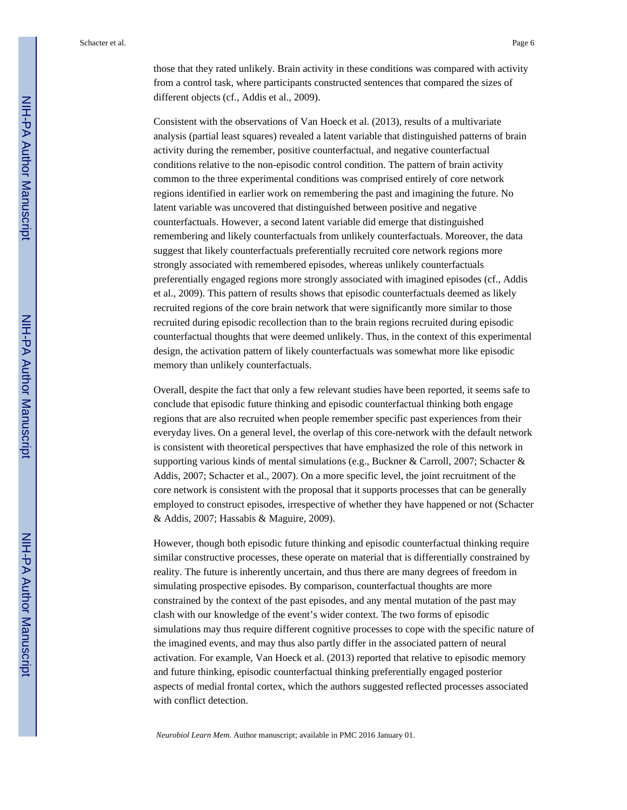those that they rated unlikely. Brain activity in these conditions was compared with activity from a control task, where participants constructed sentences that compared the sizes of different objects (cf., Addis et al., 2009).

Consistent with the observations of Van Hoeck et al. (2013), results of a multivariate analysis (partial least squares) revealed a latent variable that distinguished patterns of brain activity during the remember, positive counterfactual, and negative counterfactual conditions relative to the non-episodic control condition. The pattern of brain activity common to the three experimental conditions was comprised entirely of core network regions identified in earlier work on remembering the past and imagining the future. No latent variable was uncovered that distinguished between positive and negative counterfactuals. However, a second latent variable did emerge that distinguished remembering and likely counterfactuals from unlikely counterfactuals. Moreover, the data suggest that likely counterfactuals preferentially recruited core network regions more strongly associated with remembered episodes, whereas unlikely counterfactuals preferentially engaged regions more strongly associated with imagined episodes (cf., Addis et al., 2009). This pattern of results shows that episodic counterfactuals deemed as likely recruited regions of the core brain network that were significantly more similar to those recruited during episodic recollection than to the brain regions recruited during episodic counterfactual thoughts that were deemed unlikely. Thus, in the context of this experimental design, the activation pattern of likely counterfactuals was somewhat more like episodic memory than unlikely counterfactuals.

Overall, despite the fact that only a few relevant studies have been reported, it seems safe to conclude that episodic future thinking and episodic counterfactual thinking both engage regions that are also recruited when people remember specific past experiences from their everyday lives. On a general level, the overlap of this core-network with the default network is consistent with theoretical perspectives that have emphasized the role of this network in supporting various kinds of mental simulations (e.g., Buckner & Carroll, 2007; Schacter & Addis, 2007; Schacter et al., 2007). On a more specific level, the joint recruitment of the core network is consistent with the proposal that it supports processes that can be generally employed to construct episodes, irrespective of whether they have happened or not (Schacter & Addis, 2007; Hassabis & Maguire, 2009).

However, though both episodic future thinking and episodic counterfactual thinking require similar constructive processes, these operate on material that is differentially constrained by reality. The future is inherently uncertain, and thus there are many degrees of freedom in simulating prospective episodes. By comparison, counterfactual thoughts are more constrained by the context of the past episodes, and any mental mutation of the past may clash with our knowledge of the event's wider context. The two forms of episodic simulations may thus require different cognitive processes to cope with the specific nature of the imagined events, and may thus also partly differ in the associated pattern of neural activation. For example, Van Hoeck et al. (2013) reported that relative to episodic memory and future thinking, episodic counterfactual thinking preferentially engaged posterior aspects of medial frontal cortex, which the authors suggested reflected processes associated with conflict detection.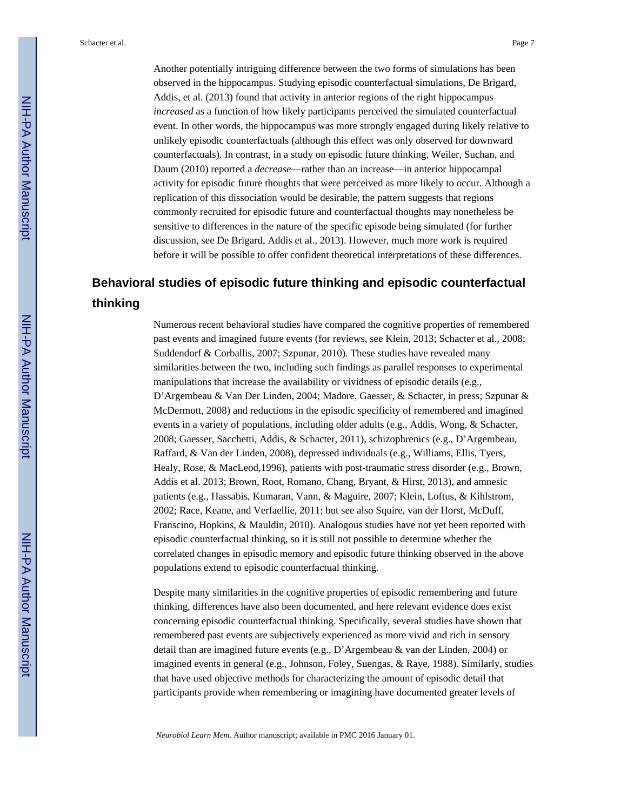Another potentially intriguing difference between the two forms of simulations has been observed in the hippocampus. Studying episodic counterfactual simulations, De Brigard, Addis, et al. (2013) found that activity in anterior regions of the right hippocampus *increased* as a function of how likely participants perceived the simulated counterfactual event. In other words, the hippocampus was more strongly engaged during likely relative to unlikely episodic counterfactuals (although this effect was only observed for downward counterfactuals). In contrast, in a study on episodic future thinking, Weiler, Suchan, and Daum (2010) reported a *decrease*—rather than an increase—in anterior hippocampal activity for episodic future thoughts that were perceived as more likely to occur. Although a replication of this dissociation would be desirable, the pattern suggests that regions commonly recruited for episodic future and counterfactual thoughts may nonetheless be sensitive to differences in the nature of the specific episode being simulated (for further discussion, see De Brigard, Addis et al., 2013). However, much more work is required before it will be possible to offer confident theoretical interpretations of these differences.

### **Behavioral studies of episodic future thinking and episodic counterfactual thinking**

Numerous recent behavioral studies have compared the cognitive properties of remembered past events and imagined future events (for reviews, see Klein, 2013; Schacter et al., 2008; Suddendorf & Corballis, 2007; Szpunar, 2010). These studies have revealed many similarities between the two, including such findings as parallel responses to experimental manipulations that increase the availability or vividness of episodic details (e.g., D'Argembeau & Van Der Linden, 2004; Madore, Gaesser, & Schacter, in press; Szpunar & McDermott, 2008) and reductions in the episodic specificity of remembered and imagined events in a variety of populations, including older adults (e.g., Addis, Wong, & Schacter, 2008; Gaesser, Sacchetti, Addis, & Schacter, 2011), schizophrenics (e.g., D'Argembeau, Raffard, & Van der Linden, 2008), depressed individuals (e.g., Williams, Ellis, Tyers, Healy, Rose, & MacLeod,1996), patients with post-traumatic stress disorder (e.g., Brown, Addis et al. 2013; Brown, Root, Romano, Chang, Bryant, & Hirst, 2013), and amnesic patients (e.g., Hassabis, Kumaran, Vann, & Maguire, 2007; Klein, Loftus, & Kihlstrom, 2002; Race, Keane, and Verfaellie, 2011; but see also Squire, van der Horst, McDuff, Franscino, Hopkins, & Mauldin, 2010). Analogous studies have not yet been reported with episodic counterfactual thinking, so it is still not possible to determine whether the correlated changes in episodic memory and episodic future thinking observed in the above populations extend to episodic counterfactual thinking.

Despite many similarities in the cognitive properties of episodic remembering and future thinking, differences have also been documented, and here relevant evidence does exist concerning episodic counterfactual thinking. Specifically, several studies have shown that remembered past events are subjectively experienced as more vivid and rich in sensory detail than are imagined future events (e.g., D'Argembeau & van der Linden, 2004) or imagined events in general (e.g., Johnson, Foley, Suengas, & Raye, 1988). Similarly, studies that have used objective methods for characterizing the amount of episodic detail that participants provide when remembering or imagining have documented greater levels of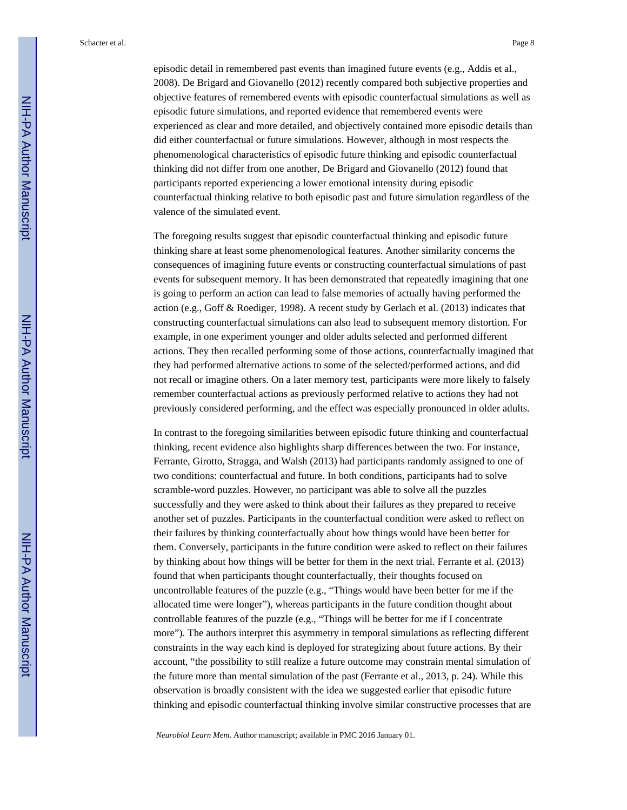episodic detail in remembered past events than imagined future events (e.g., Addis et al., 2008). De Brigard and Giovanello (2012) recently compared both subjective properties and objective features of remembered events with episodic counterfactual simulations as well as episodic future simulations, and reported evidence that remembered events were experienced as clear and more detailed, and objectively contained more episodic details than did either counterfactual or future simulations. However, although in most respects the phenomenological characteristics of episodic future thinking and episodic counterfactual thinking did not differ from one another, De Brigard and Giovanello (2012) found that participants reported experiencing a lower emotional intensity during episodic counterfactual thinking relative to both episodic past and future simulation regardless of the valence of the simulated event.

The foregoing results suggest that episodic counterfactual thinking and episodic future thinking share at least some phenomenological features. Another similarity concerns the consequences of imagining future events or constructing counterfactual simulations of past events for subsequent memory. It has been demonstrated that repeatedly imagining that one is going to perform an action can lead to false memories of actually having performed the action (e.g., Goff & Roediger, 1998). A recent study by Gerlach et al. (2013) indicates that constructing counterfactual simulations can also lead to subsequent memory distortion. For example, in one experiment younger and older adults selected and performed different actions. They then recalled performing some of those actions, counterfactually imagined that they had performed alternative actions to some of the selected/performed actions, and did not recall or imagine others. On a later memory test, participants were more likely to falsely remember counterfactual actions as previously performed relative to actions they had not previously considered performing, and the effect was especially pronounced in older adults.

In contrast to the foregoing similarities between episodic future thinking and counterfactual thinking, recent evidence also highlights sharp differences between the two. For instance, Ferrante, Girotto, Stragga, and Walsh (2013) had participants randomly assigned to one of two conditions: counterfactual and future. In both conditions, participants had to solve scramble-word puzzles. However, no participant was able to solve all the puzzles successfully and they were asked to think about their failures as they prepared to receive another set of puzzles. Participants in the counterfactual condition were asked to reflect on their failures by thinking counterfactually about how things would have been better for them. Conversely, participants in the future condition were asked to reflect on their failures by thinking about how things will be better for them in the next trial. Ferrante et al. (2013) found that when participants thought counterfactually, their thoughts focused on uncontrollable features of the puzzle (e.g., "Things would have been better for me if the allocated time were longer"), whereas participants in the future condition thought about controllable features of the puzzle (e.g., "Things will be better for me if I concentrate more"). The authors interpret this asymmetry in temporal simulations as reflecting different constraints in the way each kind is deployed for strategizing about future actions. By their account, "the possibility to still realize a future outcome may constrain mental simulation of the future more than mental simulation of the past (Ferrante et al., 2013, p. 24). While this observation is broadly consistent with the idea we suggested earlier that episodic future thinking and episodic counterfactual thinking involve similar constructive processes that are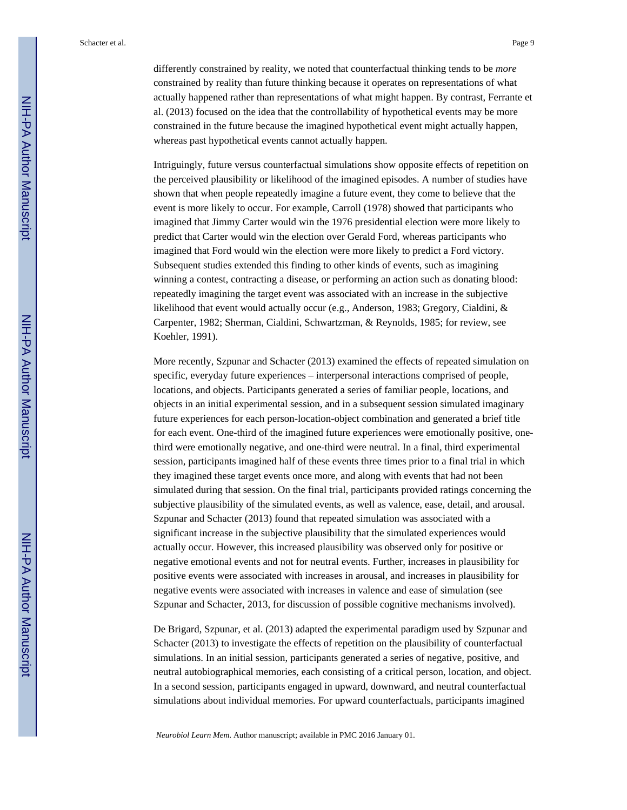differently constrained by reality, we noted that counterfactual thinking tends to be *more*  constrained by reality than future thinking because it operates on representations of what actually happened rather than representations of what might happen. By contrast, Ferrante et al. (2013) focused on the idea that the controllability of hypothetical events may be more constrained in the future because the imagined hypothetical event might actually happen, whereas past hypothetical events cannot actually happen.

Intriguingly, future versus counterfactual simulations show opposite effects of repetition on the perceived plausibility or likelihood of the imagined episodes. A number of studies have shown that when people repeatedly imagine a future event, they come to believe that the event is more likely to occur. For example, Carroll (1978) showed that participants who imagined that Jimmy Carter would win the 1976 presidential election were more likely to predict that Carter would win the election over Gerald Ford, whereas participants who imagined that Ford would win the election were more likely to predict a Ford victory. Subsequent studies extended this finding to other kinds of events, such as imagining winning a contest, contracting a disease, or performing an action such as donating blood: repeatedly imagining the target event was associated with an increase in the subjective likelihood that event would actually occur (e.g., Anderson, 1983; Gregory, Cialdini, & Carpenter, 1982; Sherman, Cialdini, Schwartzman, & Reynolds, 1985; for review, see Koehler, 1991).

More recently, Szpunar and Schacter (2013) examined the effects of repeated simulation on specific, everyday future experiences – interpersonal interactions comprised of people, locations, and objects. Participants generated a series of familiar people, locations, and objects in an initial experimental session, and in a subsequent session simulated imaginary future experiences for each person-location-object combination and generated a brief title for each event. One-third of the imagined future experiences were emotionally positive, onethird were emotionally negative, and one-third were neutral. In a final, third experimental session, participants imagined half of these events three times prior to a final trial in which they imagined these target events once more, and along with events that had not been simulated during that session. On the final trial, participants provided ratings concerning the subjective plausibility of the simulated events, as well as valence, ease, detail, and arousal. Szpunar and Schacter (2013) found that repeated simulation was associated with a significant increase in the subjective plausibility that the simulated experiences would actually occur. However, this increased plausibility was observed only for positive or negative emotional events and not for neutral events. Further, increases in plausibility for positive events were associated with increases in arousal, and increases in plausibility for negative events were associated with increases in valence and ease of simulation (see Szpunar and Schacter, 2013, for discussion of possible cognitive mechanisms involved).

De Brigard, Szpunar, et al. (2013) adapted the experimental paradigm used by Szpunar and Schacter (2013) to investigate the effects of repetition on the plausibility of counterfactual simulations. In an initial session, participants generated a series of negative, positive, and neutral autobiographical memories, each consisting of a critical person, location, and object. In a second session, participants engaged in upward, downward, and neutral counterfactual simulations about individual memories. For upward counterfactuals, participants imagined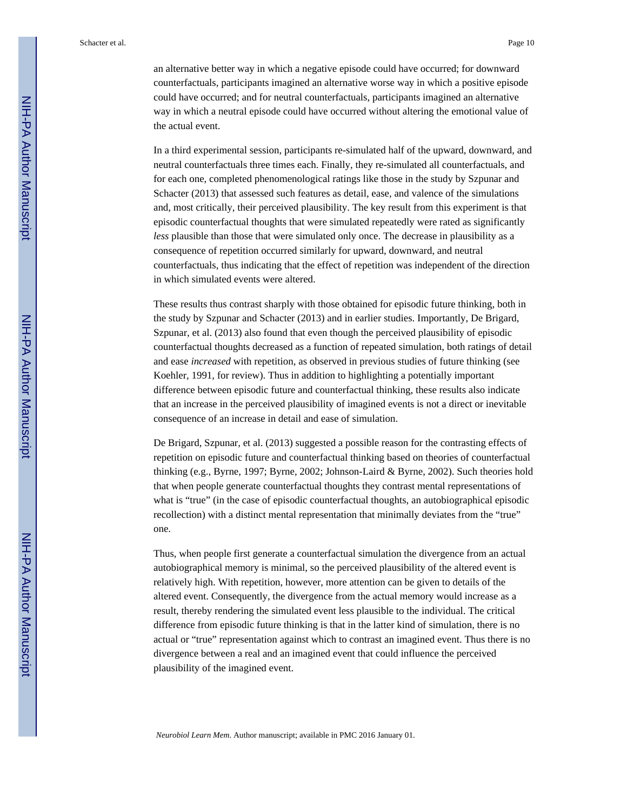an alternative better way in which a negative episode could have occurred; for downward counterfactuals, participants imagined an alternative worse way in which a positive episode could have occurred; and for neutral counterfactuals, participants imagined an alternative way in which a neutral episode could have occurred without altering the emotional value of the actual event.

In a third experimental session, participants re-simulated half of the upward, downward, and neutral counterfactuals three times each. Finally, they re-simulated all counterfactuals, and for each one, completed phenomenological ratings like those in the study by Szpunar and Schacter (2013) that assessed such features as detail, ease, and valence of the simulations and, most critically, their perceived plausibility. The key result from this experiment is that episodic counterfactual thoughts that were simulated repeatedly were rated as significantly *less* plausible than those that were simulated only once. The decrease in plausibility as a consequence of repetition occurred similarly for upward, downward, and neutral counterfactuals, thus indicating that the effect of repetition was independent of the direction in which simulated events were altered.

These results thus contrast sharply with those obtained for episodic future thinking, both in the study by Szpunar and Schacter (2013) and in earlier studies. Importantly, De Brigard, Szpunar, et al. (2013) also found that even though the perceived plausibility of episodic counterfactual thoughts decreased as a function of repeated simulation, both ratings of detail and ease *increased* with repetition, as observed in previous studies of future thinking (see Koehler, 1991, for review). Thus in addition to highlighting a potentially important difference between episodic future and counterfactual thinking, these results also indicate that an increase in the perceived plausibility of imagined events is not a direct or inevitable consequence of an increase in detail and ease of simulation.

De Brigard, Szpunar, et al. (2013) suggested a possible reason for the contrasting effects of repetition on episodic future and counterfactual thinking based on theories of counterfactual thinking (e.g., Byrne, 1997; Byrne, 2002; Johnson-Laird & Byrne, 2002). Such theories hold that when people generate counterfactual thoughts they contrast mental representations of what is "true" (in the case of episodic counterfactual thoughts, an autobiographical episodic recollection) with a distinct mental representation that minimally deviates from the "true" one.

Thus, when people first generate a counterfactual simulation the divergence from an actual autobiographical memory is minimal, so the perceived plausibility of the altered event is relatively high. With repetition, however, more attention can be given to details of the altered event. Consequently, the divergence from the actual memory would increase as a result, thereby rendering the simulated event less plausible to the individual. The critical difference from episodic future thinking is that in the latter kind of simulation, there is no actual or "true" representation against which to contrast an imagined event. Thus there is no divergence between a real and an imagined event that could influence the perceived plausibility of the imagined event.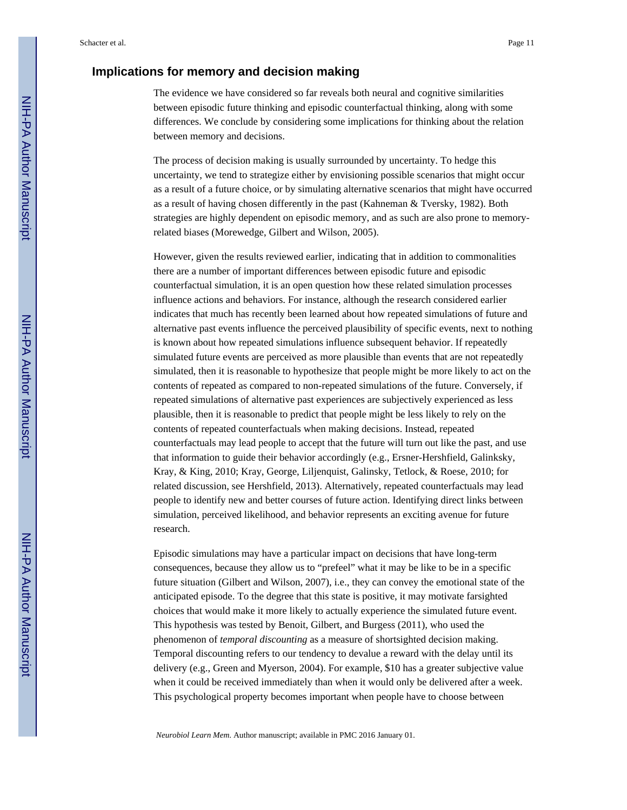#### **Implications for memory and decision making**

The evidence we have considered so far reveals both neural and cognitive similarities between episodic future thinking and episodic counterfactual thinking, along with some differences. We conclude by considering some implications for thinking about the relation between memory and decisions.

The process of decision making is usually surrounded by uncertainty. To hedge this uncertainty, we tend to strategize either by envisioning possible scenarios that might occur as a result of a future choice, or by simulating alternative scenarios that might have occurred as a result of having chosen differently in the past (Kahneman & Tversky, 1982). Both strategies are highly dependent on episodic memory, and as such are also prone to memoryrelated biases (Morewedge, Gilbert and Wilson, 2005).

However, given the results reviewed earlier, indicating that in addition to commonalities there are a number of important differences between episodic future and episodic counterfactual simulation, it is an open question how these related simulation processes influence actions and behaviors. For instance, although the research considered earlier indicates that much has recently been learned about how repeated simulations of future and alternative past events influence the perceived plausibility of specific events, next to nothing is known about how repeated simulations influence subsequent behavior. If repeatedly simulated future events are perceived as more plausible than events that are not repeatedly simulated, then it is reasonable to hypothesize that people might be more likely to act on the contents of repeated as compared to non-repeated simulations of the future. Conversely, if repeated simulations of alternative past experiences are subjectively experienced as less plausible, then it is reasonable to predict that people might be less likely to rely on the contents of repeated counterfactuals when making decisions. Instead, repeated counterfactuals may lead people to accept that the future will turn out like the past, and use that information to guide their behavior accordingly (e.g., Ersner-Hershfield, Galinksky, Kray, & King, 2010; Kray, George, Liljenquist, Galinsky, Tetlock, & Roese, 2010; for related discussion, see Hershfield, 2013). Alternatively, repeated counterfactuals may lead people to identify new and better courses of future action. Identifying direct links between simulation, perceived likelihood, and behavior represents an exciting avenue for future research.

Episodic simulations may have a particular impact on decisions that have long-term consequences, because they allow us to "prefeel" what it may be like to be in a specific future situation (Gilbert and Wilson, 2007), i.e., they can convey the emotional state of the anticipated episode. To the degree that this state is positive, it may motivate farsighted choices that would make it more likely to actually experience the simulated future event. This hypothesis was tested by Benoit, Gilbert, and Burgess (2011), who used the phenomenon of *temporal discounting* as a measure of shortsighted decision making. Temporal discounting refers to our tendency to devalue a reward with the delay until its delivery (e.g., Green and Myerson, 2004). For example, \$10 has a greater subjective value when it could be received immediately than when it would only be delivered after a week. This psychological property becomes important when people have to choose between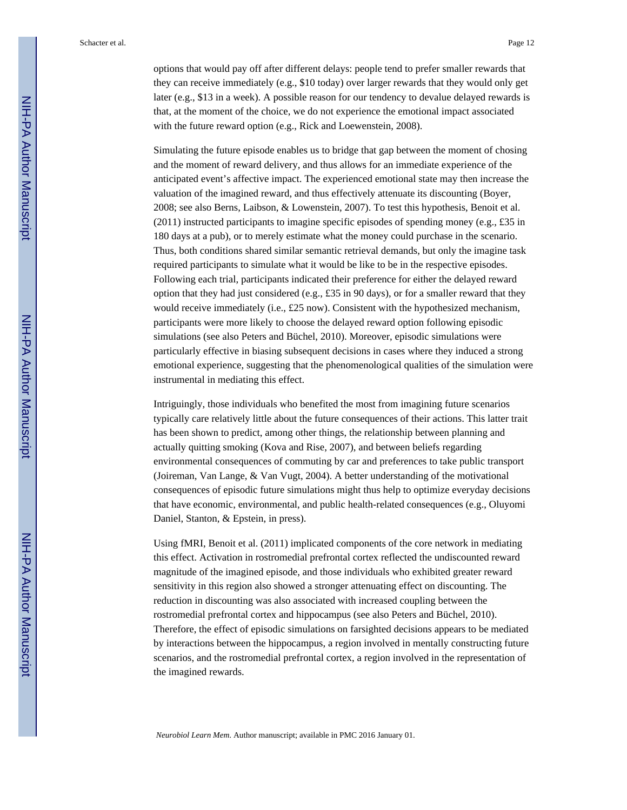options that would pay off after different delays: people tend to prefer smaller rewards that they can receive immediately (e.g., \$10 today) over larger rewards that they would only get later (e.g., \$13 in a week). A possible reason for our tendency to devalue delayed rewards is that, at the moment of the choice, we do not experience the emotional impact associated with the future reward option (e.g., Rick and Loewenstein, 2008).

Simulating the future episode enables us to bridge that gap between the moment of chosing and the moment of reward delivery, and thus allows for an immediate experience of the anticipated event's affective impact. The experienced emotional state may then increase the valuation of the imagined reward, and thus effectively attenuate its discounting (Boyer, 2008; see also Berns, Laibson, & Lowenstein, 2007). To test this hypothesis, Benoit et al. (2011) instructed participants to imagine specific episodes of spending money (e.g., £35 in 180 days at a pub), or to merely estimate what the money could purchase in the scenario. Thus, both conditions shared similar semantic retrieval demands, but only the imagine task required participants to simulate what it would be like to be in the respective episodes. Following each trial, participants indicated their preference for either the delayed reward option that they had just considered (e.g., £35 in 90 days), or for a smaller reward that they would receive immediately (i.e., £25 now). Consistent with the hypothesized mechanism, participants were more likely to choose the delayed reward option following episodic simulations (see also Peters and Büchel, 2010). Moreover, episodic simulations were particularly effective in biasing subsequent decisions in cases where they induced a strong emotional experience, suggesting that the phenomenological qualities of the simulation were instrumental in mediating this effect.

Intriguingly, those individuals who benefited the most from imagining future scenarios typically care relatively little about the future consequences of their actions. This latter trait has been shown to predict, among other things, the relationship between planning and actually quitting smoking (Kova and Rise, 2007), and between beliefs regarding environmental consequences of commuting by car and preferences to take public transport (Joireman, Van Lange, & Van Vugt, 2004). A better understanding of the motivational consequences of episodic future simulations might thus help to optimize everyday decisions that have economic, environmental, and public health-related consequences (e.g., Oluyomi Daniel, Stanton, & Epstein, in press).

Using fMRI, Benoit et al. (2011) implicated components of the core network in mediating this effect. Activation in rostromedial prefrontal cortex reflected the undiscounted reward magnitude of the imagined episode, and those individuals who exhibited greater reward sensitivity in this region also showed a stronger attenuating effect on discounting. The reduction in discounting was also associated with increased coupling between the rostromedial prefrontal cortex and hippocampus (see also Peters and Büchel, 2010). Therefore, the effect of episodic simulations on farsighted decisions appears to be mediated by interactions between the hippocampus, a region involved in mentally constructing future scenarios, and the rostromedial prefrontal cortex, a region involved in the representation of the imagined rewards.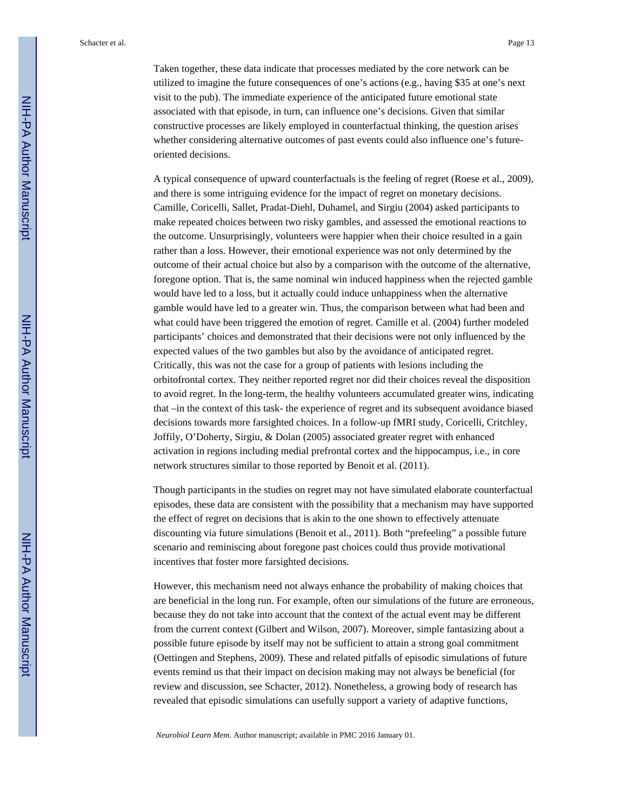Taken together, these data indicate that processes mediated by the core network can be utilized to imagine the future consequences of one's actions (e.g., having \$35 at one's next visit to the pub). The immediate experience of the anticipated future emotional state associated with that episode, in turn, can influence one's decisions. Given that similar constructive processes are likely employed in counterfactual thinking, the question arises whether considering alternative outcomes of past events could also influence one's futureoriented decisions.

A typical consequence of upward counterfactuals is the feeling of regret (Roese et al., 2009), and there is some intriguing evidence for the impact of regret on monetary decisions. Camille, Coricelli, Sallet, Pradat-Diehl, Duhamel, and Sirgiu (2004) asked participants to make repeated choices between two risky gambles, and assessed the emotional reactions to the outcome. Unsurprisingly, volunteers were happier when their choice resulted in a gain rather than a loss. However, their emotional experience was not only determined by the outcome of their actual choice but also by a comparison with the outcome of the alternative, foregone option. That is, the same nominal win induced happiness when the rejected gamble would have led to a loss, but it actually could induce unhappiness when the alternative gamble would have led to a greater win. Thus, the comparison between what had been and what could have been triggered the emotion of regret. Camille et al. (2004) further modeled participants' choices and demonstrated that their decisions were not only influenced by the expected values of the two gambles but also by the avoidance of anticipated regret. Critically, this was not the case for a group of patients with lesions including the orbitofrontal cortex. They neither reported regret nor did their choices reveal the disposition to avoid regret. In the long-term, the healthy volunteers accumulated greater wins, indicating that –in the context of this task- the experience of regret and its subsequent avoidance biased decisions towards more farsighted choices. In a follow-up fMRI study, Coricelli, Critchley, Joffily, O'Doherty, Sirgiu, & Dolan (2005) associated greater regret with enhanced activation in regions including medial prefrontal cortex and the hippocampus, i.e., in core network structures similar to those reported by Benoit et al. (2011).

Though participants in the studies on regret may not have simulated elaborate counterfactual episodes, these data are consistent with the possibility that a mechanism may have supported the effect of regret on decisions that is akin to the one shown to effectively attenuate discounting via future simulations (Benoit et al., 2011). Both "prefeeling" a possible future scenario and reminiscing about foregone past choices could thus provide motivational incentives that foster more farsighted decisions.

However, this mechanism need not always enhance the probability of making choices that are beneficial in the long run. For example, often our simulations of the future are erroneous, because they do not take into account that the context of the actual event may be different from the current context (Gilbert and Wilson, 2007). Moreover, simple fantasizing about a possible future episode by itself may not be sufficient to attain a strong goal commitment (Oettingen and Stephens, 2009). These and related pitfalls of episodic simulations of future events remind us that their impact on decision making may not always be beneficial (for review and discussion, see Schacter, 2012). Nonetheless, a growing body of research has revealed that episodic simulations can usefully support a variety of adaptive functions,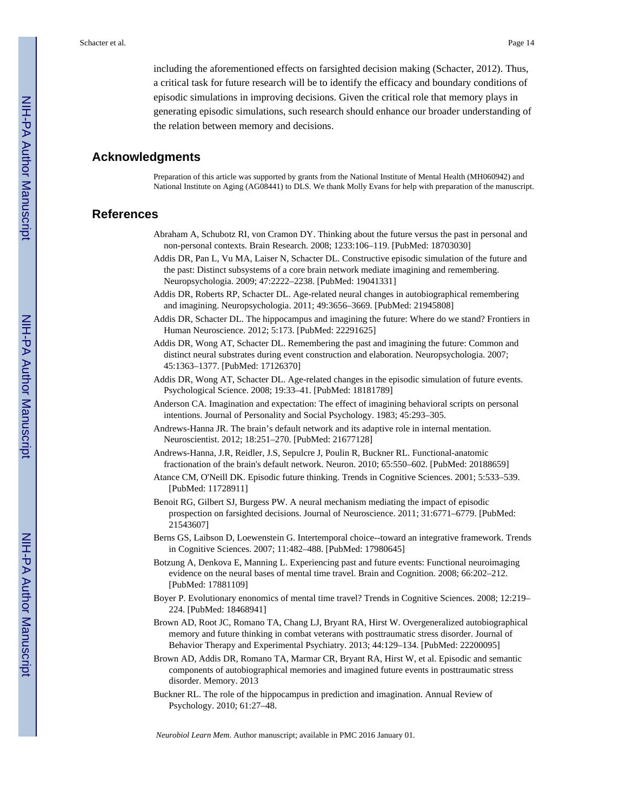including the aforementioned effects on farsighted decision making (Schacter, 2012). Thus, a critical task for future research will be to identify the efficacy and boundary conditions of episodic simulations in improving decisions. Given the critical role that memory plays in generating episodic simulations, such research should enhance our broader understanding of the relation between memory and decisions.

#### **Acknowledgments**

Preparation of this article was supported by grants from the National Institute of Mental Health (MH060942) and National Institute on Aging (AG08441) to DLS. We thank Molly Evans for help with preparation of the manuscript.

#### **References**

- Abraham A, Schubotz RI, von Cramon DY. Thinking about the future versus the past in personal and non-personal contexts. Brain Research. 2008; 1233:106–119. [PubMed: 18703030]
- Addis DR, Pan L, Vu MA, Laiser N, Schacter DL. Constructive episodic simulation of the future and the past: Distinct subsystems of a core brain network mediate imagining and remembering. Neuropsychologia. 2009; 47:2222–2238. [PubMed: 19041331]
- Addis DR, Roberts RP, Schacter DL. Age-related neural changes in autobiographical remembering and imagining. Neuropsychologia. 2011; 49:3656–3669. [PubMed: 21945808]
- Addis DR, Schacter DL. The hippocampus and imagining the future: Where do we stand? Frontiers in Human Neuroscience. 2012; 5:173. [PubMed: 22291625]
- Addis DR, Wong AT, Schacter DL. Remembering the past and imagining the future: Common and distinct neural substrates during event construction and elaboration. Neuropsychologia. 2007; 45:1363–1377. [PubMed: 17126370]
- Addis DR, Wong AT, Schacter DL. Age-related changes in the episodic simulation of future events. Psychological Science. 2008; 19:33–41. [PubMed: 18181789]
- Anderson CA. Imagination and expectation: The effect of imagining behavioral scripts on personal intentions. Journal of Personality and Social Psychology. 1983; 45:293–305.
- Andrews-Hanna JR. The brain's default network and its adaptive role in internal mentation. Neuroscientist. 2012; 18:251–270. [PubMed: 21677128]
- Andrews-Hanna, J.R, Reidler, J.S, Sepulcre J, Poulin R, Buckner RL. Functional-anatomic fractionation of the brain's default network. Neuron. 2010; 65:550–602. [PubMed: 20188659]
- Atance CM, O'Neill DK. Episodic future thinking. Trends in Cognitive Sciences. 2001; 5:533–539. [PubMed: 11728911]
- Benoit RG, Gilbert SJ, Burgess PW. A neural mechanism mediating the impact of episodic prospection on farsighted decisions. Journal of Neuroscience. 2011; 31:6771–6779. [PubMed: 21543607]
- Berns GS, Laibson D, Loewenstein G. Intertemporal choice--toward an integrative framework. Trends in Cognitive Sciences. 2007; 11:482–488. [PubMed: 17980645]
- Botzung A, Denkova E, Manning L. Experiencing past and future events: Functional neuroimaging evidence on the neural bases of mental time travel. Brain and Cognition. 2008; 66:202–212. [PubMed: 17881109]
- Boyer P. Evolutionary enonomics of mental time travel? Trends in Cognitive Sciences. 2008; 12:219– 224. [PubMed: 18468941]
- Brown AD, Root JC, Romano TA, Chang LJ, Bryant RA, Hirst W. Overgeneralized autobiographical memory and future thinking in combat veterans with posttraumatic stress disorder. Journal of Behavior Therapy and Experimental Psychiatry. 2013; 44:129–134. [PubMed: 22200095]
- Brown AD, Addis DR, Romano TA, Marmar CR, Bryant RA, Hirst W, et al. Episodic and semantic components of autobiographical memories and imagined future events in posttraumatic stress disorder. Memory. 2013
- Buckner RL. The role of the hippocampus in prediction and imagination. Annual Review of Psychology. 2010; 61:27–48.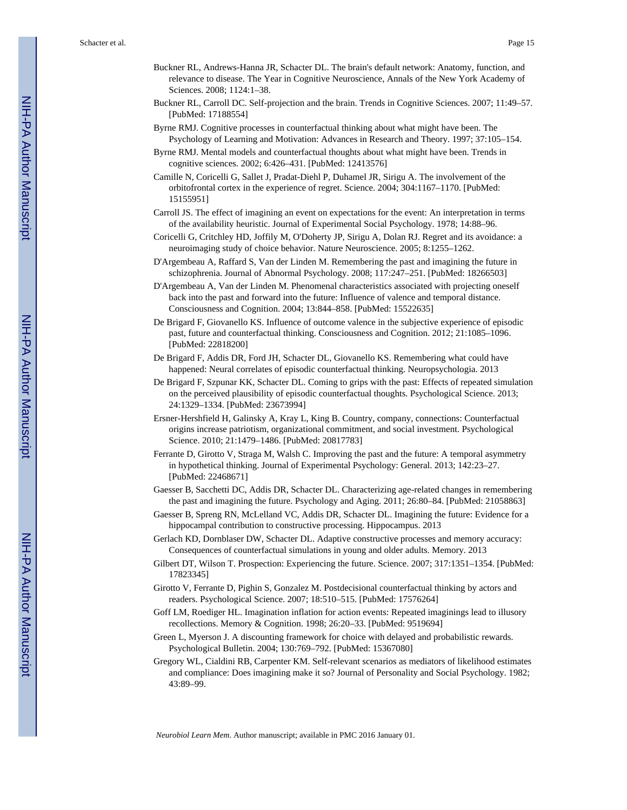- Buckner RL, Andrews-Hanna JR, Schacter DL. The brain's default network: Anatomy, function, and relevance to disease. The Year in Cognitive Neuroscience, Annals of the New York Academy of Sciences. 2008; 1124:1–38.
- Buckner RL, Carroll DC. Self-projection and the brain. Trends in Cognitive Sciences. 2007; 11:49–57. [PubMed: 17188554]
- Byrne RMJ. Cognitive processes in counterfactual thinking about what might have been. The Psychology of Learning and Motivation: Advances in Research and Theory. 1997; 37:105–154.
- Byrne RMJ. Mental models and counterfactual thoughts about what might have been. Trends in cognitive sciences. 2002; 6:426–431. [PubMed: 12413576]
- Camille N, Coricelli G, Sallet J, Pradat-Diehl P, Duhamel JR, Sirigu A. The involvement of the orbitofrontal cortex in the experience of regret. Science. 2004; 304:1167–1170. [PubMed: 15155951]
- Carroll JS. The effect of imagining an event on expectations for the event: An interpretation in terms of the availability heuristic. Journal of Experimental Social Psychology. 1978; 14:88–96.
- Coricelli G, Critchley HD, Joffily M, O'Doherty JP, Sirigu A, Dolan RJ. Regret and its avoidance: a neuroimaging study of choice behavior. Nature Neuroscience. 2005; 8:1255–1262.
- D'Argembeau A, Raffard S, Van der Linden M. Remembering the past and imagining the future in schizophrenia. Journal of Abnormal Psychology. 2008; 117:247–251. [PubMed: 18266503]
- D'Argembeau A, Van der Linden M. Phenomenal characteristics associated with projecting oneself back into the past and forward into the future: Influence of valence and temporal distance. Consciousness and Cognition. 2004; 13:844–858. [PubMed: 15522635]
- De Brigard F, Giovanello KS. Influence of outcome valence in the subjective experience of episodic past, future and counterfactual thinking. Consciousness and Cognition. 2012; 21:1085–1096. [PubMed: 22818200]
- De Brigard F, Addis DR, Ford JH, Schacter DL, Giovanello KS. Remembering what could have happened: Neural correlates of episodic counterfactual thinking. Neuropsychologia. 2013
- De Brigard F, Szpunar KK, Schacter DL. Coming to grips with the past: Effects of repeated simulation on the perceived plausibility of episodic counterfactual thoughts. Psychological Science. 2013; 24:1329–1334. [PubMed: 23673994]
- Ersner-Hershfield H, Galinsky A, Kray L, King B. Country, company, connections: Counterfactual origins increase patriotism, organizational commitment, and social investment. Psychological Science. 2010; 21:1479–1486. [PubMed: 20817783]
- Ferrante D, Girotto V, Straga M, Walsh C. Improving the past and the future: A temporal asymmetry in hypothetical thinking. Journal of Experimental Psychology: General. 2013; 142:23–27. [PubMed: 22468671]
- Gaesser B, Sacchetti DC, Addis DR, Schacter DL. Characterizing age-related changes in remembering the past and imagining the future. Psychology and Aging. 2011; 26:80–84. [PubMed: 21058863]
- Gaesser B, Spreng RN, McLelland VC, Addis DR, Schacter DL. Imagining the future: Evidence for a hippocampal contribution to constructive processing. Hippocampus. 2013
- Gerlach KD, Dornblaser DW, Schacter DL. Adaptive constructive processes and memory accuracy: Consequences of counterfactual simulations in young and older adults. Memory. 2013
- Gilbert DT, Wilson T. Prospection: Experiencing the future. Science. 2007; 317:1351–1354. [PubMed: 17823345]
- Girotto V, Ferrante D, Pighin S, Gonzalez M. Postdecisional counterfactual thinking by actors and readers. Psychological Science. 2007; 18:510–515. [PubMed: 17576264]
- Goff LM, Roediger HL. Imagination inflation for action events: Repeated imaginings lead to illusory recollections. Memory & Cognition. 1998; 26:20–33. [PubMed: 9519694]
- Green L, Myerson J. A discounting framework for choice with delayed and probabilistic rewards. Psychological Bulletin. 2004; 130:769–792. [PubMed: 15367080]
- Gregory WL, Cialdini RB, Carpenter KM. Self-relevant scenarios as mediators of likelihood estimates and compliance: Does imagining make it so? Journal of Personality and Social Psychology. 1982; 43:89–99.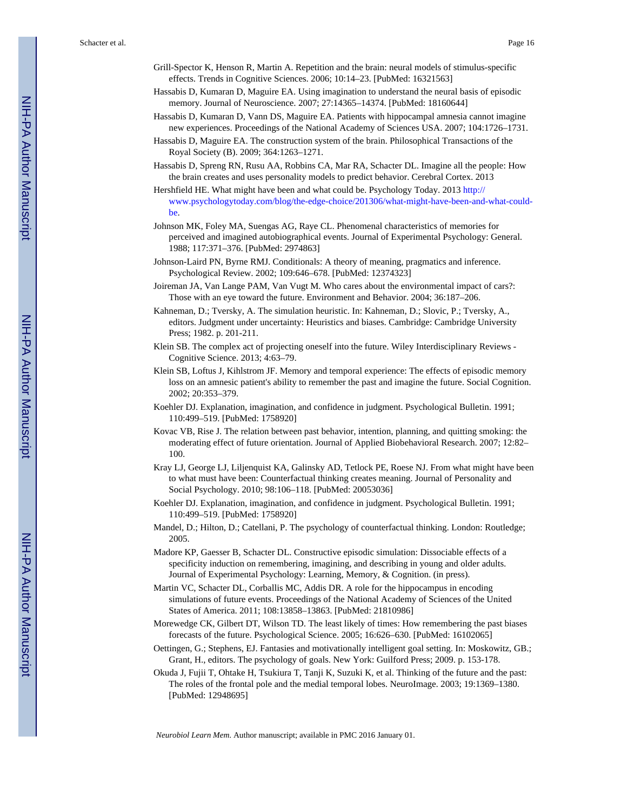- Grill-Spector K, Henson R, Martin A. Repetition and the brain: neural models of stimulus-specific effects. Trends in Cognitive Sciences. 2006; 10:14–23. [PubMed: 16321563]
- Hassabis D, Kumaran D, Maguire EA. Using imagination to understand the neural basis of episodic memory. Journal of Neuroscience. 2007; 27:14365–14374. [PubMed: 18160644]
- Hassabis D, Kumaran D, Vann DS, Maguire EA. Patients with hippocampal amnesia cannot imagine new experiences. Proceedings of the National Academy of Sciences USA. 2007; 104:1726–1731.
- Hassabis D, Maguire EA. The construction system of the brain. Philosophical Transactions of the Royal Society (B). 2009; 364:1263–1271.
- Hassabis D, Spreng RN, Rusu AA, Robbins CA, Mar RA, Schacter DL. Imagine all the people: How the brain creates and uses personality models to predict behavior. Cerebral Cortex. 2013
- Hershfield HE. What might have been and what could be. Psychology Today. 2013 [http://](http://www.psychologytoday.com/blog/the-edge-choice/201306/what-might-have-been-and-what-could-be) [www.psychologytoday.com/blog/the-edge-choice/201306/what-might-have-been-and-what-could](http://www.psychologytoday.com/blog/the-edge-choice/201306/what-might-have-been-and-what-could-be)[be](http://www.psychologytoday.com/blog/the-edge-choice/201306/what-might-have-been-and-what-could-be).
- Johnson MK, Foley MA, Suengas AG, Raye CL. Phenomenal characteristics of memories for perceived and imagined autobiographical events. Journal of Experimental Psychology: General. 1988; 117:371–376. [PubMed: 2974863]
- Johnson-Laird PN, Byrne RMJ. Conditionals: A theory of meaning, pragmatics and inference. Psychological Review. 2002; 109:646–678. [PubMed: 12374323]
- Joireman JA, Van Lange PAM, Van Vugt M. Who cares about the environmental impact of cars?: Those with an eye toward the future. Environment and Behavior. 2004; 36:187–206.
- Kahneman, D.; Tversky, A. The simulation heuristic. In: Kahneman, D.; Slovic, P.; Tversky, A., editors. Judgment under uncertainty: Heuristics and biases. Cambridge: Cambridge University Press; 1982. p. 201-211.
- Klein SB. The complex act of projecting oneself into the future. Wiley Interdisciplinary Reviews Cognitive Science. 2013; 4:63–79.
- Klein SB, Loftus J, Kihlstrom JF. Memory and temporal experience: The effects of episodic memory loss on an amnesic patient's ability to remember the past and imagine the future. Social Cognition. 2002; 20:353–379.
- Koehler DJ. Explanation, imagination, and confidence in judgment. Psychological Bulletin. 1991; 110:499–519. [PubMed: 1758920]
- Kovac VB, Rise J. The relation between past behavior, intention, planning, and quitting smoking: the moderating effect of future orientation. Journal of Applied Biobehavioral Research. 2007; 12:82– 100.
- Kray LJ, George LJ, Liljenquist KA, Galinsky AD, Tetlock PE, Roese NJ. From what might have been to what must have been: Counterfactual thinking creates meaning. Journal of Personality and Social Psychology. 2010; 98:106–118. [PubMed: 20053036]
- Koehler DJ. Explanation, imagination, and confidence in judgment. Psychological Bulletin. 1991; 110:499–519. [PubMed: 1758920]
- Mandel, D.; Hilton, D.; Catellani, P. The psychology of counterfactual thinking. London: Routledge; 2005.
- Madore KP, Gaesser B, Schacter DL. Constructive episodic simulation: Dissociable effects of a specificity induction on remembering, imagining, and describing in young and older adults. Journal of Experimental Psychology: Learning, Memory, & Cognition. (in press).
- Martin VC, Schacter DL, Corballis MC, Addis DR. A role for the hippocampus in encoding simulations of future events. Proceedings of the National Academy of Sciences of the United States of America. 2011; 108:13858–13863. [PubMed: 21810986]
- Morewedge CK, Gilbert DT, Wilson TD. The least likely of times: How remembering the past biases forecasts of the future. Psychological Science. 2005; 16:626–630. [PubMed: 16102065]
- Oettingen, G.; Stephens, EJ. Fantasies and motivationally intelligent goal setting. In: Moskowitz, GB.; Grant, H., editors. The psychology of goals. New York: Guilford Press; 2009. p. 153-178.
- Okuda J, Fujii T, Ohtake H, Tsukiura T, Tanji K, Suzuki K, et al. Thinking of the future and the past: The roles of the frontal pole and the medial temporal lobes. NeuroImage. 2003; 19:1369–1380. [PubMed: 12948695]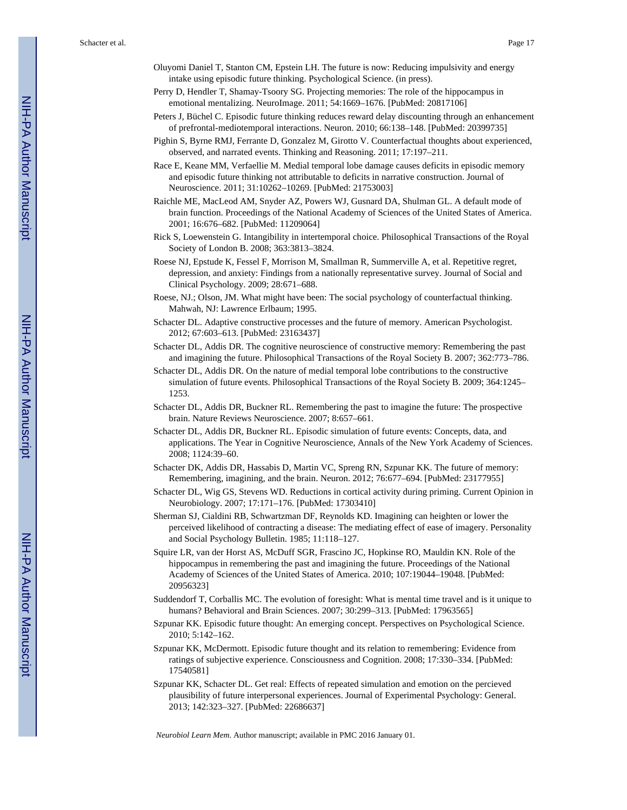- Oluyomi Daniel T, Stanton CM, Epstein LH. The future is now: Reducing impulsivity and energy intake using episodic future thinking. Psychological Science. (in press).
- Perry D, Hendler T, Shamay-Tsoory SG. Projecting memories: The role of the hippocampus in emotional mentalizing. NeuroImage. 2011; 54:1669–1676. [PubMed: 20817106]
- Peters J, Büchel C. Episodic future thinking reduces reward delay discounting through an enhancement of prefrontal-mediotemporal interactions. Neuron. 2010; 66:138–148. [PubMed: 20399735]
- Pighin S, Byrne RMJ, Ferrante D, Gonzalez M, Girotto V. Counterfactual thoughts about experienced, observed, and narrated events. Thinking and Reasoning. 2011; 17:197–211.
- Race E, Keane MM, Verfaellie M. Medial temporal lobe damage causes deficits in episodic memory and episodic future thinking not attributable to deficits in narrative construction. Journal of Neuroscience. 2011; 31:10262–10269. [PubMed: 21753003]
- Raichle ME, MacLeod AM, Snyder AZ, Powers WJ, Gusnard DA, Shulman GL. A default mode of brain function. Proceedings of the National Academy of Sciences of the United States of America. 2001; 16:676–682. [PubMed: 11209064]
- Rick S, Loewenstein G. Intangibility in intertemporal choice. Philosophical Transactions of the Royal Society of London B. 2008; 363:3813–3824.
- Roese NJ, Epstude K, Fessel F, Morrison M, Smallman R, Summerville A, et al. Repetitive regret, depression, and anxiety: Findings from a nationally representative survey. Journal of Social and Clinical Psychology. 2009; 28:671–688.
- Roese, NJ.; Olson, JM. What might have been: The social psychology of counterfactual thinking. Mahwah, NJ: Lawrence Erlbaum; 1995.
- Schacter DL. Adaptive constructive processes and the future of memory. American Psychologist. 2012; 67:603–613. [PubMed: 23163437]
- Schacter DL, Addis DR. The cognitive neuroscience of constructive memory: Remembering the past and imagining the future. Philosophical Transactions of the Royal Society B. 2007; 362:773–786.
- Schacter DL, Addis DR. On the nature of medial temporal lobe contributions to the constructive simulation of future events. Philosophical Transactions of the Royal Society B. 2009; 364:1245– 1253.
- Schacter DL, Addis DR, Buckner RL. Remembering the past to imagine the future: The prospective brain. Nature Reviews Neuroscience. 2007; 8:657–661.
- Schacter DL, Addis DR, Buckner RL. Episodic simulation of future events: Concepts, data, and applications. The Year in Cognitive Neuroscience, Annals of the New York Academy of Sciences. 2008; 1124:39–60.
- Schacter DK, Addis DR, Hassabis D, Martin VC, Spreng RN, Szpunar KK. The future of memory: Remembering, imagining, and the brain. Neuron. 2012; 76:677–694. [PubMed: 23177955]
- Schacter DL, Wig GS, Stevens WD. Reductions in cortical activity during priming. Current Opinion in Neurobiology. 2007; 17:171–176. [PubMed: 17303410]
- Sherman SJ, Cialdini RB, Schwartzman DF, Reynolds KD. Imagining can heighten or lower the perceived likelihood of contracting a disease: The mediating effect of ease of imagery. Personality and Social Psychology Bulletin. 1985; 11:118–127.
- Squire LR, van der Horst AS, McDuff SGR, Frascino JC, Hopkinse RO, Mauldin KN. Role of the hippocampus in remembering the past and imagining the future. Proceedings of the National Academy of Sciences of the United States of America. 2010; 107:19044–19048. [PubMed: 20956323]
- Suddendorf T, Corballis MC. The evolution of foresight: What is mental time travel and is it unique to humans? Behavioral and Brain Sciences. 2007; 30:299-313. [PubMed: 17963565]
- Szpunar KK. Episodic future thought: An emerging concept. Perspectives on Psychological Science. 2010; 5:142–162.
- Szpunar KK, McDermott. Episodic future thought and its relation to remembering: Evidence from ratings of subjective experience. Consciousness and Cognition. 2008; 17:330–334. [PubMed: 17540581]
- Szpunar KK, Schacter DL. Get real: Effects of repeated simulation and emotion on the percieved plausibility of future interpersonal experiences. Journal of Experimental Psychology: General. 2013; 142:323–327. [PubMed: 22686637]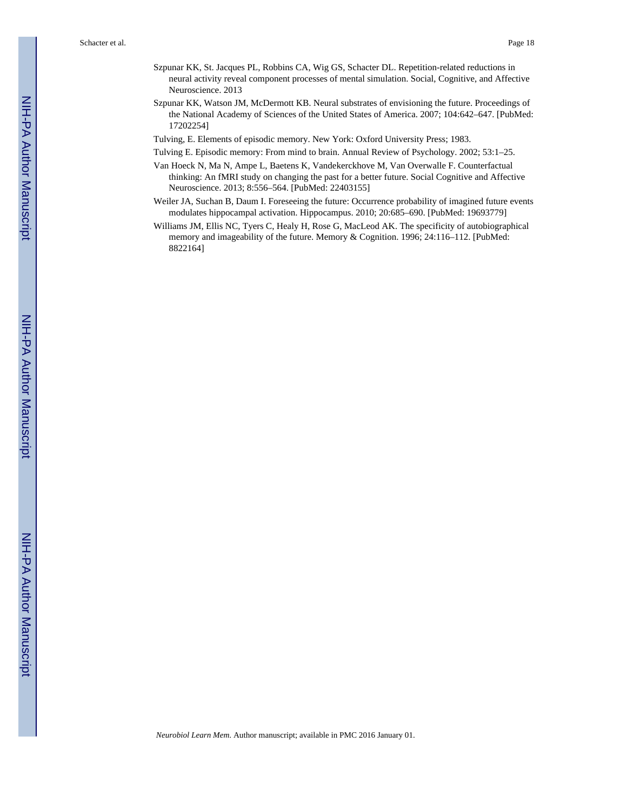- Szpunar KK, St. Jacques PL, Robbins CA, Wig GS, Schacter DL. Repetition-related reductions in neural activity reveal component processes of mental simulation. Social, Cognitive, and Affective Neuroscience. 2013
- Szpunar KK, Watson JM, McDermott KB. Neural substrates of envisioning the future. Proceedings of the National Academy of Sciences of the United States of America. 2007; 104:642–647. [PubMed: 17202254]
- Tulving, E. Elements of episodic memory. New York: Oxford University Press; 1983.
- Tulving E. Episodic memory: From mind to brain. Annual Review of Psychology. 2002; 53:1–25.
- Van Hoeck N, Ma N, Ampe L, Baetens K, Vandekerckhove M, Van Overwalle F. Counterfactual thinking: An fMRI study on changing the past for a better future. Social Cognitive and Affective Neuroscience. 2013; 8:556–564. [PubMed: 22403155]
- Weiler JA, Suchan B, Daum I. Foreseeing the future: Occurrence probability of imagined future events modulates hippocampal activation. Hippocampus. 2010; 20:685–690. [PubMed: 19693779]
- Williams JM, Ellis NC, Tyers C, Healy H, Rose G, MacLeod AK. The specificity of autobiographical memory and imageability of the future. Memory & Cognition. 1996; 24:116–112. [PubMed: 8822164]